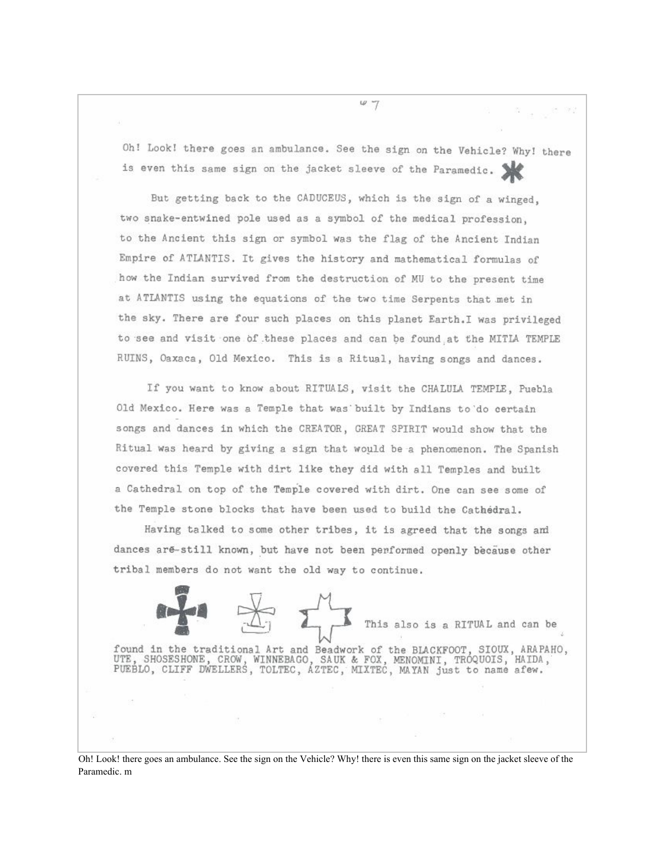Oh! Look! there goes an ambulance. See the sign on the Vehicle? Why! there is even this same sign on the jacket sleeve of the Paramedic.

But getting back to the CADUCEUS, which is the sign of a winged, two snake-entwined pole used as a symbol of the medical profession. to the Ancient this sign or symbol was the flag of the Ancient Indian Empire of ATLANTIS. It gives the history and mathematical formulas of how the Indian survived from the destruction of MU to the present time at ATLANTIS using the equations of the two time Serpents that met in the sky. There are four such places on this planet Earth. I was privileged to see and visit one of these places and can be found at the MITLA TEMPLE RUINS, Oaxaca, Old Mexico. This is a Ritual, having songs and dances.

If you want to know about RITUALS, visit the CHALULA TEMPLE, Puebla Old Mexico. Here was a Temple that was built by Indians to do certain songs and dances in which the CREATOR, GREAT SPIRIT would show that the Ritual was heard by giving a sign that would be a phenomenon. The Spanish covered this Temple with dirt like they did with all Temples and built a Cathedral on top of the Temple covered with dirt. One can see some of the Temple stone blocks that have been used to build the Cathedral.

Having talked to some other tribes, it is agreed that the songs and dances are-still known, but have not been performed openly because other tribal members do not want the old way to continue.

This also is a RITUAL and can be found in the traditional Art and Beadwork of the BLACKFOOT, SIOUX, ARAPAHO, UTE, SHOSESHONE, CROW, WINNEBAGO, SAUK & FOX, MENOMINI, TROQUOIS, HAIDA, PUEBLO, CLIFF DWELLERS, TOLTEC, AZTEC, MIXTEC, MAYAN just to name afew.

Oh! Look! there goes an ambulance. See the sign on the Vehicle? Why! there is even this same sign on the jacket sleeve of the Paramedic. m

 $47$ 

8. 99